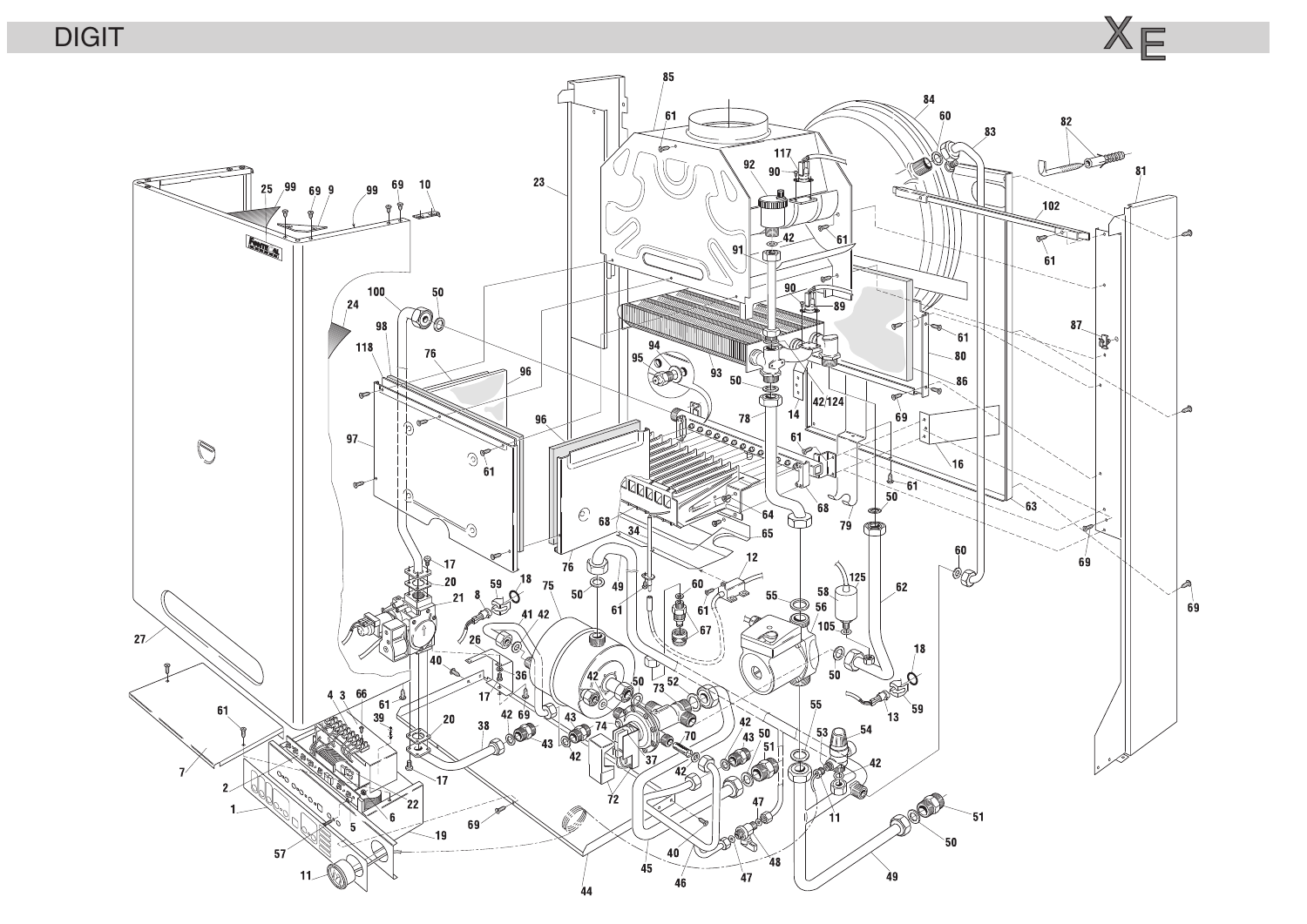**DIGIT** 



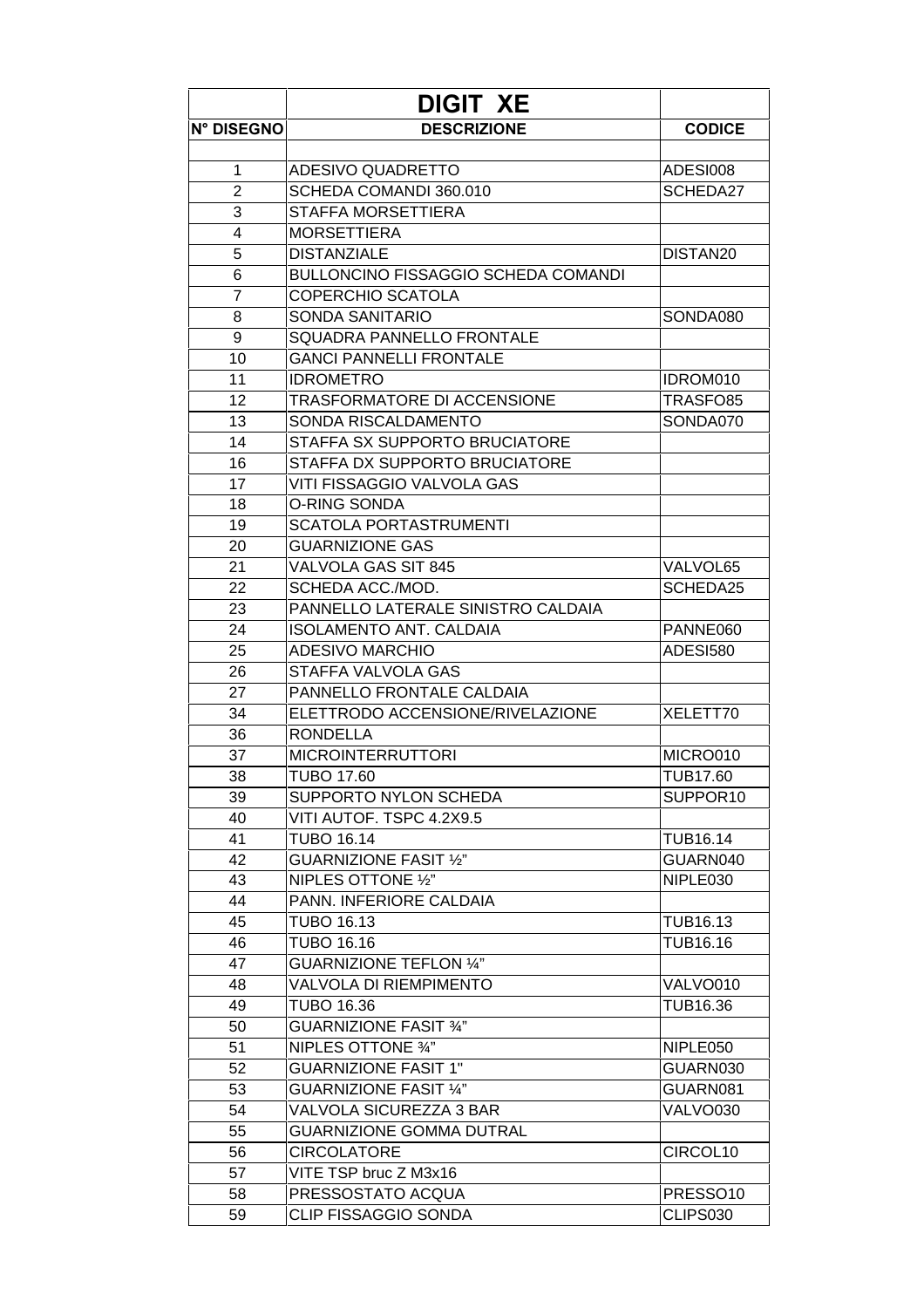|                   | <b>DIGIT XE</b>                            |                      |
|-------------------|--------------------------------------------|----------------------|
| <b>N° DISEGNO</b> | <b>DESCRIZIONE</b>                         | <b>CODICE</b>        |
|                   |                                            |                      |
| 1                 | ADESIVO QUADRETTO                          | ADESI008             |
| $\overline{2}$    | SCHEDA COMANDI 360.010                     | SCHEDA27             |
| 3                 | STAFFA MORSETTIERA                         |                      |
| 4                 | <b>MORSETTIERA</b>                         |                      |
| 5                 | <b>DISTANZIALE</b>                         | DISTAN20             |
| 6                 | <b>BULLONCINO FISSAGGIO SCHEDA COMANDI</b> |                      |
| $\overline{7}$    | <b>COPERCHIO SCATOLA</b>                   |                      |
| 8                 | <b>SONDA SANITARIO</b>                     | SONDA080             |
| 9                 | SQUADRA PANNELLO FRONTALE                  |                      |
| 10                | <b>GANCI PANNELLI FRONTALE</b>             |                      |
| 11                | <b>IDROMETRO</b>                           | IDROM010             |
| 12                | TRASFORMATORE DI ACCENSIONE                | TRASFO85             |
| 13                | SONDA RISCALDAMENTO                        | SONDA070             |
| 14                | STAFFA SX SUPPORTO BRUCIATORE              |                      |
| 16                | STAFFA DX SUPPORTO BRUCIATORE              |                      |
| 17                | VITI FISSAGGIO VALVOLA GAS                 |                      |
| 18                | <b>O-RING SONDA</b>                        |                      |
| 19                | <b>SCATOLA PORTASTRUMENTI</b>              |                      |
| 20                | <b>GUARNIZIONE GAS</b>                     |                      |
| 21                | <b>VALVOLA GAS SIT 845</b>                 | VALVOL65             |
| 22                | SCHEDA ACC./MOD.                           | SCHEDA25             |
| 23                | PANNELLO LATERALE SINISTRO CALDAIA         |                      |
| 24                | <b>ISOLAMENTO ANT. CALDAIA</b>             | PANNE060             |
| 25                | <b>ADESIVO MARCHIO</b>                     | ADESI580             |
| 26                | STAFFA VALVOLA GAS                         |                      |
| 27                | PANNELLO FRONTALE CALDAIA                  |                      |
| 34                | ELETTRODO ACCENSIONE/RIVELAZIONE           | XELETT70             |
| 36                | <b>RONDELLA</b>                            |                      |
| 37                | <b>MICROINTERRUTTORI</b>                   | MICRO010             |
| 38                | <b>TUBO 17.60</b>                          | <b>TUB17.60</b>      |
| 39                | SUPPORTO NYLON SCHEDA                      | SUPPOR10             |
| 40                | VITI AUTOF. TSPC 4.2X9.5                   |                      |
| 41                | <b>TUBO 16.14</b>                          | <b>TUB16.14</b>      |
| 42                | <b>GUARNIZIONE FASIT 1/2"</b>              | GUARN040             |
| 43                | NIPLES OTTONE 1/2"                         | NIPLE030             |
| 44                | PANN. INFERIORE CALDAIA                    |                      |
| 45                | <b>TUBO 16.13</b>                          | TUB16.13             |
| 46                | <b>TUBO 16.16</b>                          | <b>TUB16.16</b>      |
| 47                | <b>GUARNIZIONE TEFLON 1/4"</b>             |                      |
| 48                | <b>VALVOLA DI RIEMPIMENTO</b>              | VALVO010             |
| 49                | <b>TUBO 16.36</b>                          | TUB16.36             |
| 50                | <b>GUARNIZIONE FASIT 34"</b>               |                      |
| 51                | NIPLES OTTONE 3/4"                         | NIPLE050             |
| 52                | <b>GUARNIZIONE FASIT 1"</b>                | GUARN030             |
| 53                | <b>GUARNIZIONE FASIT 1/4"</b>              | GUARN081             |
| 54                | VALVOLA SICUREZZA 3 BAR                    | VALVO030             |
| 55                | <b>GUARNIZIONE GOMMA DUTRAL</b>            |                      |
| 56                | <b>CIRCOLATORE</b>                         | CIRCOL10             |
| 57                | VITE TSP bruc Z M3x16                      |                      |
| 58                | PRESSOSTATO ACQUA                          | PRESSO <sub>10</sub> |
| 59                | CLIP FISSAGGIO SONDA                       | CLIPS030             |